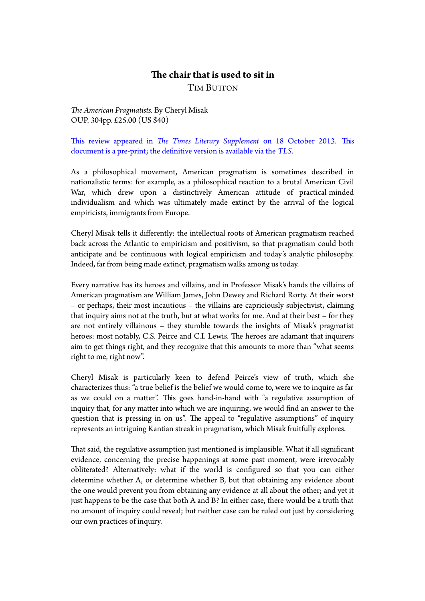## **The chair that is used to sit in**

TIM BUTTON

*The American Pragmatists.* By Cheryl Misak OUP. 304pp. £25.00 (US \$40)

This review appeared in *The Times Literary Supplement* on 18 October 2013. This document is a pre-print; the definitive version is available via the *TLS*.

As a philosophical movement, American pragmatism is sometimes described in nationalistic terms: for example, as a philosophical reaction to a brutal American Civil War, which drew upon a distinctively American atitude of practical-minded individualism and which was ultimately made extinct by the arrival of the logical empiricists, immigrants from Europe.

Cheryl Misak tells it diferently: the intellectual roots of American pragmatism reached back across the Atlantic to empiricism and positivism, so that pragmatism could both anticipate and be continuous with logical empiricism and today's analytic philosophy. Indeed, far from being made extinct, pragmatism walks among us today.

Every narrative has its heroes and villains, and in Professor Misak's hands the villains of American pragmatism are William James, John Dewey and Richard Rorty. At their worst – or perhaps, their most incautious – the villains are capriciously subjectivist, claiming that inquiry aims not at the truth, but at what works for me. And at their best – for they are not entirely villainous – they stumble towards the insights of Misak's pragmatist heroes: most notably, C.S. Peirce and C.I. Lewis. The heroes are adamant that inquirers aim to get things right, and they recognize that this amounts to more than "what seems right to me, right now".

Cheryl Misak is particularly keen to defend Peirce's view of truth, which she characterizes thus: "a true belief is the belief we would come to, were we to inquire as far as we could on a mater". Tis goes hand-in-hand with "a regulative assumption of inquiry that, for any mater into which we are inquiring, we would find an answer to the question that is pressing in on us". The appeal to "regulative assumptions" of inquiry represents an intriguing Kantian streak in pragmatism, which Misak fruitfully explores.

That said, the regulative assumption just mentioned is implausible. What if all significant evidence, concerning the precise happenings at some past moment, were irrevocably obliterated? Alternatively: what if the world is configured so that you can either determine whether A, or determine whether B, but that obtaining any evidence about the one would prevent you from obtaining any evidence at all about the other; and yet it just happens to be the case that both A and B? In either case, there would be a truth that no amount of inquiry could reveal; but neither case can be ruled out just by considering our own practices of inquiry.